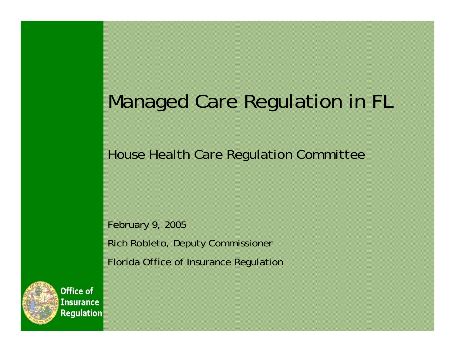# Managed Care Regulation in FL

House Health Care Regulation Committee

February 9, 2005 Rich Robleto, Deputy Commissioner

Florida Office of Insurance Regulation

**Office of Insurance Regulation**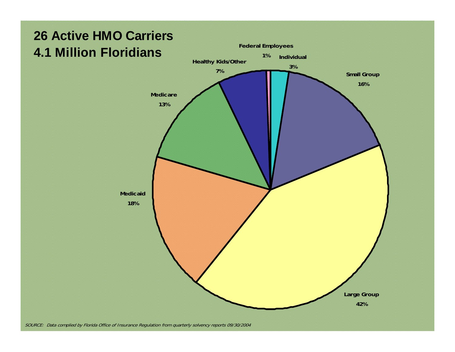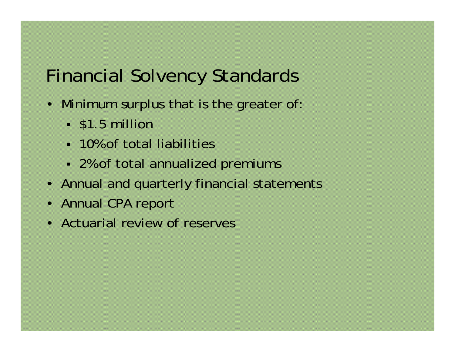| <b>Financial Solvency Standards</b>                          |
|--------------------------------------------------------------|
| • Minimum surplus that is the greater of:<br>• \$1.5 million |
| • 10% of total liabilities                                   |
| • 2% of total annualized premiums                            |
| • Annual and quarterly financial statements                  |
| • Annual CPA report                                          |
| • Actuarial review of reserves                               |
|                                                              |
|                                                              |
|                                                              |
|                                                              |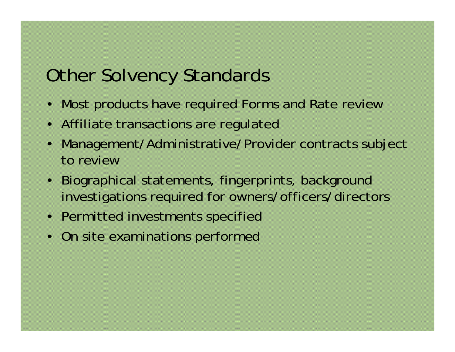### Other Solvency Standards

- •Most products have required Forms and Rate review
- •Affiliate transactions are regulated
- • Management/Administrative/Provider contracts subject to review
- • Biographical statements, fingerprints, background investigations required for owners/officers/directors
- •Permitted investments specified
- On site examinations performed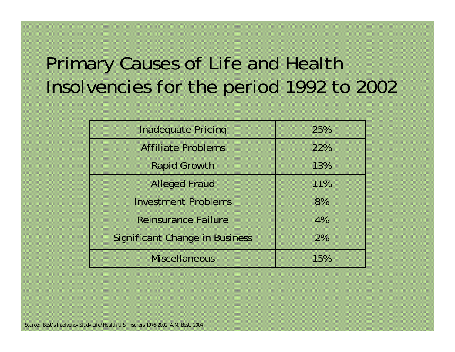### Primary Causes of Life and Health Insolvencies for the period 1992 to 2002

| <b>Affiliate Problems</b>             | 22% |
|---------------------------------------|-----|
| <b>Rapid Growth</b>                   | 13% |
| <b>Alleged Fraud</b>                  | 11% |
| <b>Investment Problems</b>            | 8%  |
| <b>Reinsurance Failure</b>            | 4%  |
| <b>Significant Change in Business</b> | 2%  |
| <b>Miscellaneous</b>                  | 15% |

*Source: Best's Insolvency Study Life/Health U.S. Insurers 1976-2002 A.M. Best, 2004*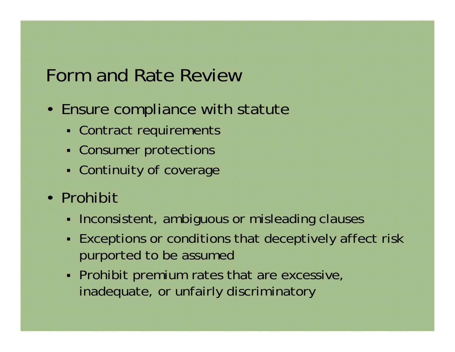## Form and Rate Review

- Ensure compliance with statute
	- n Contract requirements
	- n Consumer protections
	- Continuity of coverage
- Prohibit
	- • Inconsistent, ambiguous or misleading clauses
	- s Exceptions or conditions that deceptively affect risk purported to be assumed
	- s Prohibit premium rates that are excessive, inadequate, or unfairly discriminatory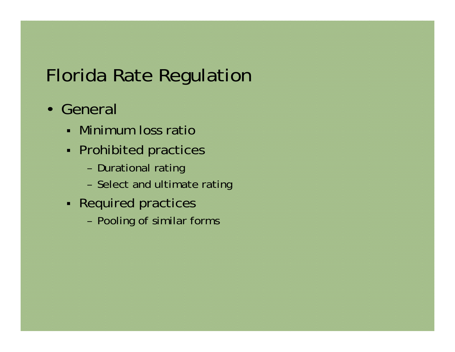# Florida Rate Regulation

- General
	- Minimum loss ratio
	- n Prohibited practices
		- –Durational rating
		- –Select and ultimate rating
	- Required practices
		- –Pooling of similar forms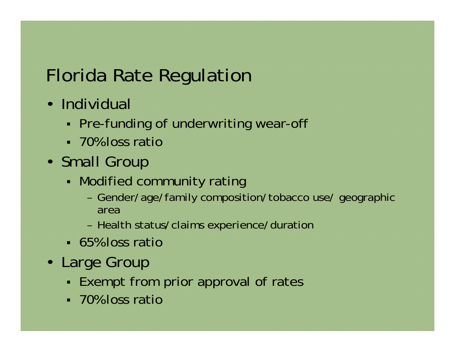#### Florida Rate Regulation • Individual ■ Pre-funding of underwriting wear-off 70% loss ratio • Small Group ■ Modified community rating – Gender/age/family composition/tobacco use/ geographic area– Health status/claims experience/duration 65% loss ratio• Large Group ■ Exempt from prior approval of rates

70% loss ratio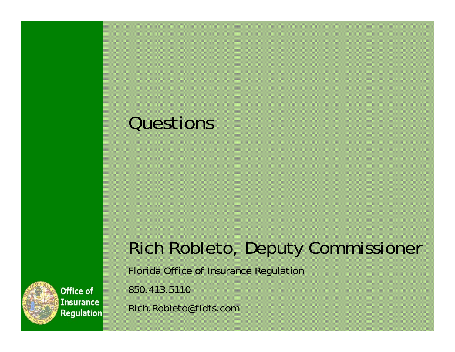## Questions



Florida Office of Insurance Regulation

850.413.5110

Rich.Robleto@fldfs.com



**Office of Insurance Regulation**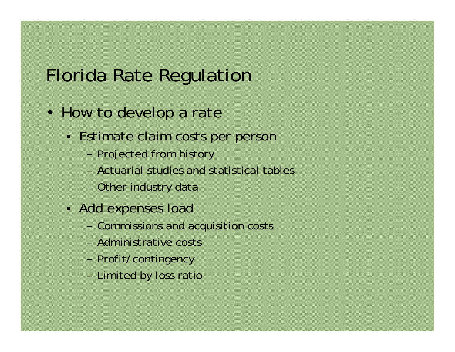| <b>Florida Rate Regulation</b>                                                                                                          |
|-----------------------------------------------------------------------------------------------------------------------------------------|
| • How to develop a rate                                                                                                                 |
| • Estimate claim costs per person<br>- Projected from history<br>- Actuarial studies and statistical tables<br>- Other industry data    |
| • Add expenses load<br>- Commissions and acquisition costs<br>- Administrative costs<br>- Profit/contingency<br>- Limited by loss ratio |